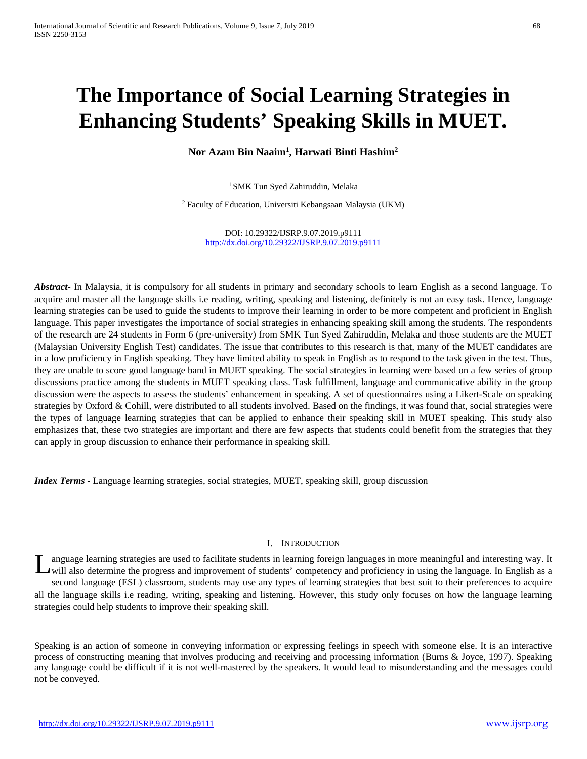# **The Importance of Social Learning Strategies in Enhancing Students' Speaking Skills in MUET.**

**Nor Azam Bin Naaim1 , Harwati Binti Hashim2**

<sup>1</sup> SMK Tun Syed Zahiruddin, Melaka

<sup>2</sup> Faculty of Education, Universiti Kebangsaan Malaysia (UKM)

DOI: 10.29322/IJSRP.9.07.2019.p9111 <http://dx.doi.org/10.29322/IJSRP.9.07.2019.p9111>

*Abstract***-** In Malaysia, it is compulsory for all students in primary and secondary schools to learn English as a second language. To acquire and master all the language skills i.e reading, writing, speaking and listening, definitely is not an easy task. Hence, language learning strategies can be used to guide the students to improve their learning in order to be more competent and proficient in English language. This paper investigates the importance of social strategies in enhancing speaking skill among the students. The respondents of the research are 24 students in Form 6 (pre-university) from SMK Tun Syed Zahiruddin, Melaka and those students are the MUET (Malaysian University English Test) candidates. The issue that contributes to this research is that, many of the MUET candidates are in a low proficiency in English speaking. They have limited ability to speak in English as to respond to the task given in the test. Thus, they are unable to score good language band in MUET speaking. The social strategies in learning were based on a few series of group discussions practice among the students in MUET speaking class. Task fulfillment, language and communicative ability in the group discussion were the aspects to assess the students' enhancement in speaking. A set of questionnaires using a Likert-Scale on speaking strategies by Oxford & Cohill, were distributed to all students involved. Based on the findings, it was found that, social strategies were the types of language learning strategies that can be applied to enhance their speaking skill in MUET speaking. This study also emphasizes that, these two strategies are important and there are few aspects that students could benefit from the strategies that they can apply in group discussion to enhance their performance in speaking skill.

*Index Terms* - Language learning strategies, social strategies, MUET, speaking skill, group discussion

#### I. INTRODUCTION

anguage learning strategies are used to facilitate students in learning foreign languages in more meaningful and interesting way. It will also determine the progress and improvement of students' competency and proficiency in using the language. In English as a second language (ESL) classroom, students may use any types of learning strategies that best suit to their preferences to acquire all the language skills i.e reading, writing, speaking and listening. However, this study only focuses on how the language learning strategies could help students to improve their speaking skill. L

Speaking is an action of someone in conveying information or expressing feelings in speech with someone else. It is an interactive process of constructing meaning that involves producing and receiving and processing information (Burns & Joyce, 1997). Speaking any language could be difficult if it is not well-mastered by the speakers. It would lead to misunderstanding and the messages could not be conveyed.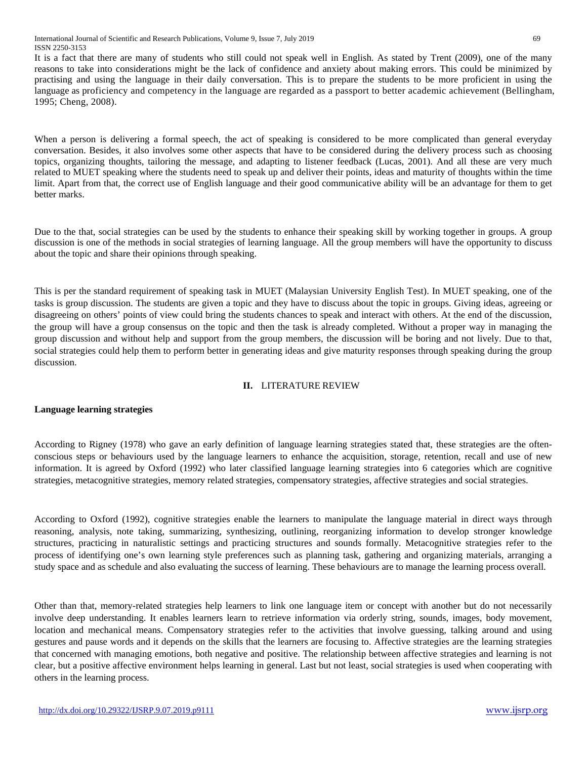International Journal of Scientific and Research Publications, Volume 9, Issue 7, July 2019 69 ISSN 2250-3153

It is a fact that there are many of students who still could not speak well in English. As stated by Trent (2009), one of the many reasons to take into considerations might be the lack of confidence and anxiety about making errors. This could be minimized by practising and using the language in their daily conversation. This is to prepare the students to be more proficient in using the language as proficiency and competency in the language are regarded as a passport to better academic achievement (Bellingham, 1995; Cheng, 2008).

When a person is delivering a formal speech, the act of speaking is considered to be more complicated than general everyday conversation. Besides, it also involves some other aspects that have to be considered during the delivery process such as choosing topics, organizing thoughts, tailoring the message, and adapting to listener feedback (Lucas, 2001). And all these are very much related to MUET speaking where the students need to speak up and deliver their points, ideas and maturity of thoughts within the time limit. Apart from that, the correct use of English language and their good communicative ability will be an advantage for them to get better marks.

Due to the that, social strategies can be used by the students to enhance their speaking skill by working together in groups. A group discussion is one of the methods in social strategies of learning language. All the group members will have the opportunity to discuss about the topic and share their opinions through speaking.

This is per the standard requirement of speaking task in MUET (Malaysian University English Test). In MUET speaking, one of the tasks is group discussion. The students are given a topic and they have to discuss about the topic in groups. Giving ideas, agreeing or disagreeing on others' points of view could bring the students chances to speak and interact with others. At the end of the discussion, the group will have a group consensus on the topic and then the task is already completed. Without a proper way in managing the group discussion and without help and support from the group members, the discussion will be boring and not lively. Due to that, social strategies could help them to perform better in generating ideas and give maturity responses through speaking during the group discussion.

# **II.** LITERATURE REVIEW

## **Language learning strategies**

According to Rigney (1978) who gave an early definition of language learning strategies stated that, these strategies are the oftenconscious steps or behaviours used by the language learners to enhance the acquisition, storage, retention, recall and use of new information. It is agreed by Oxford (1992) who later classified language learning strategies into 6 categories which are cognitive strategies, metacognitive strategies, memory related strategies, compensatory strategies, affective strategies and social strategies.

According to Oxford (1992), cognitive strategies enable the learners to manipulate the language material in direct ways through reasoning, analysis, note taking, summarizing, synthesizing, outlining, reorganizing information to develop stronger knowledge structures, practicing in naturalistic settings and practicing structures and sounds formally. Metacognitive strategies refer to the process of identifying one's own learning style preferences such as planning task, gathering and organizing materials, arranging a study space and as schedule and also evaluating the success of learning. These behaviours are to manage the learning process overall.

Other than that, memory-related strategies help learners to link one language item or concept with another but do not necessarily involve deep understanding. It enables learners learn to retrieve information via orderly string, sounds, images, body movement, location and mechanical means. Compensatory strategies refer to the activities that involve guessing, talking around and using gestures and pause words and it depends on the skills that the learners are focusing to. Affective strategies are the learning strategies that concerned with managing emotions, both negative and positive. The relationship between affective strategies and learning is not clear, but a positive affective environment helps learning in general. Last but not least, social strategies is used when cooperating with others in the learning process.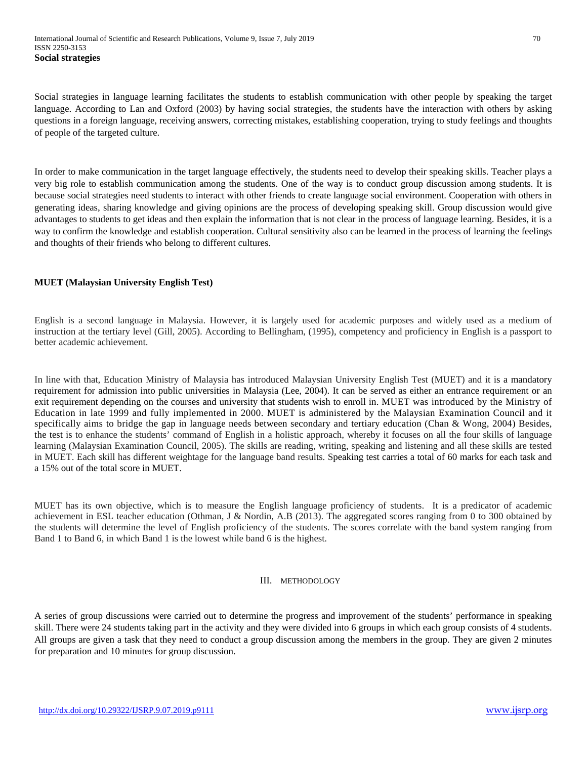Social strategies in language learning facilitates the students to establish communication with other people by speaking the target language. According to Lan and Oxford (2003) by having social strategies, the students have the interaction with others by asking questions in a foreign language, receiving answers, correcting mistakes, establishing cooperation, trying to study feelings and thoughts of people of the targeted culture.

In order to make communication in the target language effectively, the students need to develop their speaking skills. Teacher plays a very big role to establish communication among the students. One of the way is to conduct group discussion among students. It is because social strategies need students to interact with other friends to create language social environment. Cooperation with others in generating ideas, sharing knowledge and giving opinions are the process of developing speaking skill. Group discussion would give advantages to students to get ideas and then explain the information that is not clear in the process of language learning. Besides, it is a way to confirm the knowledge and establish cooperation. Cultural sensitivity also can be learned in the process of learning the feelings and thoughts of their friends who belong to different cultures.

# **MUET (Malaysian University English Test)**

English is a second language in Malaysia. However, it is largely used for academic purposes and widely used as a medium of instruction at the tertiary level (Gill, 2005). According to Bellingham, (1995), competency and proficiency in English is a passport to better academic achievement.

In line with that, Education Ministry of Malaysia has introduced Malaysian University English Test (MUET) and it is a mandatory requirement for admission into public universities in Malaysia (Lee, 2004). It can be served as either an entrance requirement or an exit requirement depending on the courses and university that students wish to enroll in. MUET was introduced by the Ministry of Education in late 1999 and fully implemented in 2000. MUET is administered by the Malaysian Examination Council and it specifically aims to bridge the gap in language needs between secondary and tertiary education (Chan & Wong, 2004) Besides, the test is to enhance the students' command of English in a holistic approach, whereby it focuses on all the four skills of language learning (Malaysian Examination Council, 2005). The skills are reading, writing, speaking and listening and all these skills are tested in MUET. Each skill has different weightage for the language band results. Speaking test carries a total of 60 marks for each task and a 15% out of the total score in MUET.

MUET has its own objective, which is to measure the English language proficiency of students. It is a predicator of academic achievement in ESL teacher education (Othman, J & Nordin, A.B (2013). The aggregated scores ranging from 0 to 300 obtained by the students will determine the level of English proficiency of the students. The scores correlate with the band system ranging from Band 1 to Band 6, in which Band 1 is the lowest while band 6 is the highest.

## III. METHODOLOGY

A series of group discussions were carried out to determine the progress and improvement of the students' performance in speaking skill. There were 24 students taking part in the activity and they were divided into 6 groups in which each group consists of 4 students. All groups are given a task that they need to conduct a group discussion among the members in the group. They are given 2 minutes for preparation and 10 minutes for group discussion.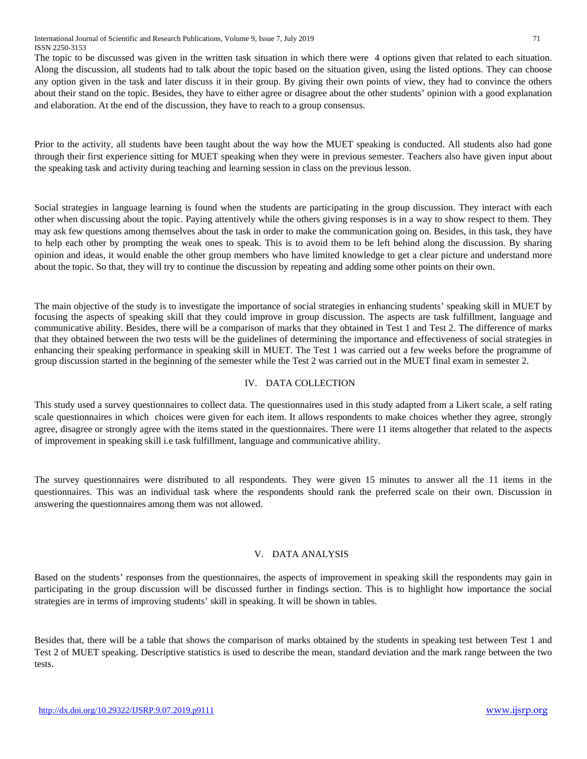The topic to be discussed was given in the written task situation in which there were 4 options given that related to each situation. Along the discussion, all students had to talk about the topic based on the situation given, using the listed options. They can choose any option given in the task and later discuss it in their group. By giving their own points of view, they had to convince the others about their stand on the topic. Besides, they have to either agree or disagree about the other students' opinion with a good explanation and elaboration. At the end of the discussion, they have to reach to a group consensus.

Prior to the activity, all students have been taught about the way how the MUET speaking is conducted. All students also had gone through their first experience sitting for MUET speaking when they were in previous semester. Teachers also have given input about the speaking task and activity during teaching and learning session in class on the previous lesson.

Social strategies in language learning is found when the students are participating in the group discussion. They interact with each other when discussing about the topic. Paying attentively while the others giving responses is in a way to show respect to them. They may ask few questions among themselves about the task in order to make the communication going on. Besides, in this task, they have to help each other by prompting the weak ones to speak. This is to avoid them to be left behind along the discussion. By sharing opinion and ideas, it would enable the other group members who have limited knowledge to get a clear picture and understand more about the topic. So that, they will try to continue the discussion by repeating and adding some other points on their own.

The main objective of the study is to investigate the importance of social strategies in enhancing students' speaking skill in MUET by focusing the aspects of speaking skill that they could improve in group discussion. The aspects are task fulfillment, language and communicative ability. Besides, there will be a comparison of marks that they obtained in Test 1 and Test 2. The difference of marks that they obtained between the two tests will be the guidelines of determining the importance and effectiveness of social strategies in enhancing their speaking performance in speaking skill in MUET. The Test 1 was carried out a few weeks before the programme of group discussion started in the beginning of the semester while the Test 2 was carried out in the MUET final exam in semester 2.

# IV. DATA COLLECTION

This study used a survey questionnaires to collect data. The questionnaires used in this study adapted from a Likert scale, a self rating scale questionnaires in which choices were given for each item. It allows respondents to make choices whether they agree, strongly agree, disagree or strongly agree with the items stated in the questionnaires. There were 11 items altogether that related to the aspects of improvement in speaking skill i.e task fulfillment, language and communicative ability.

The survey questionnaires were distributed to all respondents. They were given 15 minutes to answer all the 11 items in the questionnaires. This was an individual task where the respondents should rank the preferred scale on their own. Discussion in answering the questionnaires among them was not allowed.

# V. DATA ANALYSIS

Based on the students' responses from the questionnaires, the aspects of improvement in speaking skill the respondents may gain in participating in the group discussion will be discussed further in findings section. This is to highlight how importance the social strategies are in terms of improving students' skill in speaking. It will be shown in tables.

Besides that, there will be a table that shows the comparison of marks obtained by the students in speaking test between Test 1 and Test 2 of MUET speaking. Descriptive statistics is used to describe the mean, standard deviation and the mark range between the two tests.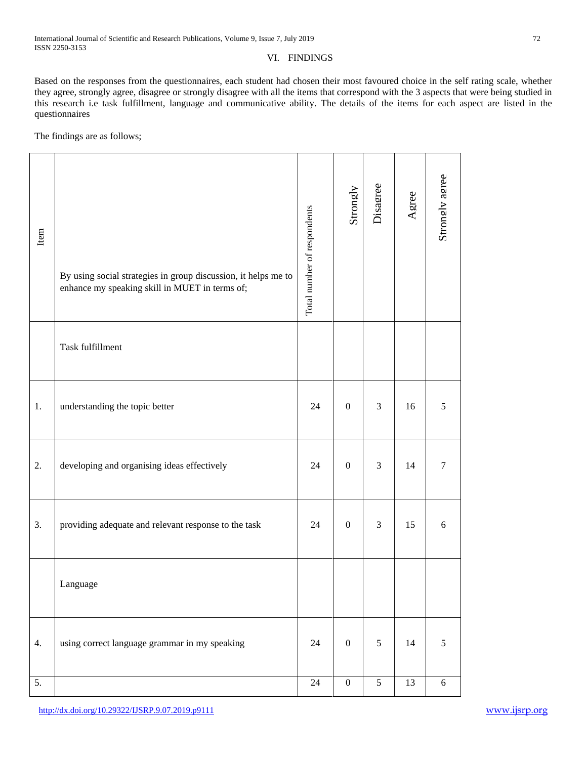Based on the responses from the questionnaires, each student had chosen their most favoured choice in the self rating scale, whether they agree, strongly agree, disagree or strongly disagree with all the items that correspond with the 3 aspects that were being studied in this research i.e task fulfillment, language and communicative ability. The details of the items for each aspect are listed in the questionnaires

The findings are as follows;

| Item             | By using social strategies in group discussion, it helps me to<br>enhance my speaking skill in MUET in terms of; | Total number of respondents | Strongly         | Disagree       | Agree           | Strongly agree |
|------------------|------------------------------------------------------------------------------------------------------------------|-----------------------------|------------------|----------------|-----------------|----------------|
|                  | Task fulfillment                                                                                                 |                             |                  |                |                 |                |
| 1.               | understanding the topic better                                                                                   | 24                          | $\boldsymbol{0}$ | 3              | 16              | 5              |
| 2.               | developing and organising ideas effectively                                                                      | 24                          | $\overline{0}$   | 3              | 14              | $\tau$         |
| 3.               | providing adequate and relevant response to the task                                                             | 24                          | $\boldsymbol{0}$ | $\mathfrak{Z}$ | 15              | 6              |
|                  | Language                                                                                                         |                             |                  |                |                 |                |
| 4.               | using correct language grammar in my speaking                                                                    | 24                          | $\boldsymbol{0}$ | 5              | 14              | 5              |
| $\overline{5}$ . |                                                                                                                  | $\overline{24}$             | $\overline{0}$   | $\overline{5}$ | $\overline{13}$ | 6              |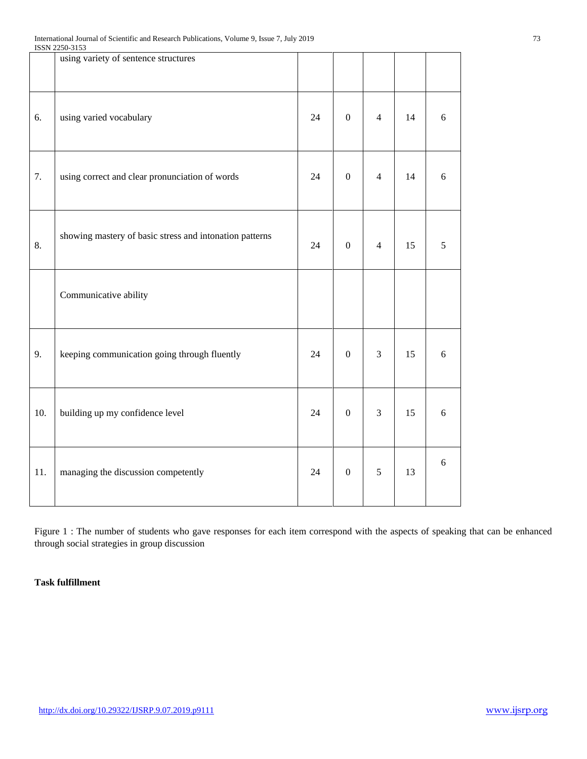| ISSN 2250-3153                                          |                                      |                  |                |    |       |
|---------------------------------------------------------|--------------------------------------|------------------|----------------|----|-------|
|                                                         |                                      |                  |                |    |       |
| using varied vocabulary                                 | 24                                   | $\boldsymbol{0}$ | $\overline{4}$ | 14 | 6     |
| using correct and clear pronunciation of words          | 24                                   | $\overline{0}$   | $\overline{4}$ | 14 | 6     |
| showing mastery of basic stress and intonation patterns | 24                                   | $\mathbf{0}$     | $\overline{4}$ | 15 | 5     |
| Communicative ability                                   |                                      |                  |                |    |       |
| keeping communication going through fluently            | 24                                   | $\mathbf{0}$     | $\mathfrak{Z}$ | 15 | $6\,$ |
| building up my confidence level                         | 24                                   | $\boldsymbol{0}$ | $\mathfrak{Z}$ | 15 | $6\,$ |
| managing the discussion competently                     | 24                                   | $\boldsymbol{0}$ | $\sqrt{5}$     | 13 | 6     |
|                                                         | using variety of sentence structures |                  |                |    |       |

Figure 1 : The number of students who gave responses for each item correspond with the aspects of speaking that can be enhanced through social strategies in group discussion

# **Task fulfillment**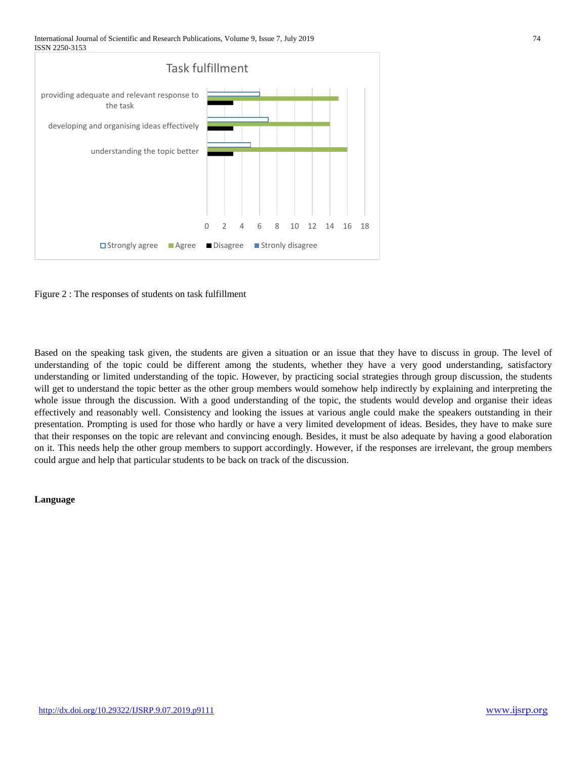International Journal of Scientific and Research Publications, Volume 9, Issue 7, July 2019 74 ISSN 2250-3153





Based on the speaking task given, the students are given a situation or an issue that they have to discuss in group. The level of understanding of the topic could be different among the students, whether they have a very good understanding, satisfactory understanding or limited understanding of the topic. However, by practicing social strategies through group discussion, the students will get to understand the topic better as the other group members would somehow help indirectly by explaining and interpreting the whole issue through the discussion. With a good understanding of the topic, the students would develop and organise their ideas effectively and reasonably well. Consistency and looking the issues at various angle could make the speakers outstanding in their presentation. Prompting is used for those who hardly or have a very limited development of ideas. Besides, they have to make sure that their responses on the topic are relevant and convincing enough. Besides, it must be also adequate by having a good elaboration on it. This needs help the other group members to support accordingly. However, if the responses are irrelevant, the group members could argue and help that particular students to be back on track of the discussion.

#### **Language**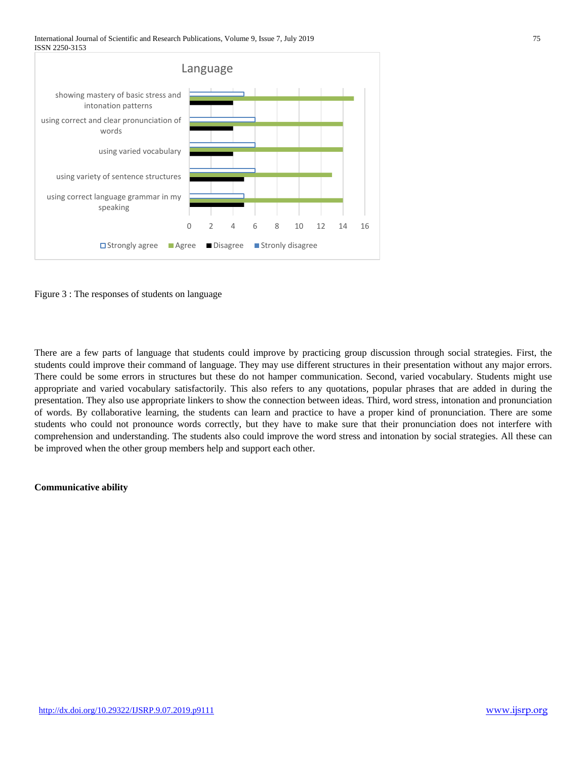International Journal of Scientific and Research Publications, Volume 9, Issue 7, July 2019 75 ISSN 2250-3153





There are a few parts of language that students could improve by practicing group discussion through social strategies. First, the students could improve their command of language. They may use different structures in their presentation without any major errors. There could be some errors in structures but these do not hamper communication. Second, varied vocabulary. Students might use appropriate and varied vocabulary satisfactorily. This also refers to any quotations, popular phrases that are added in during the presentation. They also use appropriate linkers to show the connection between ideas. Third, word stress, intonation and pronunciation of words. By collaborative learning, the students can learn and practice to have a proper kind of pronunciation. There are some students who could not pronounce words correctly, but they have to make sure that their pronunciation does not interfere with comprehension and understanding. The students also could improve the word stress and intonation by social strategies. All these can be improved when the other group members help and support each other.

## **Communicative ability**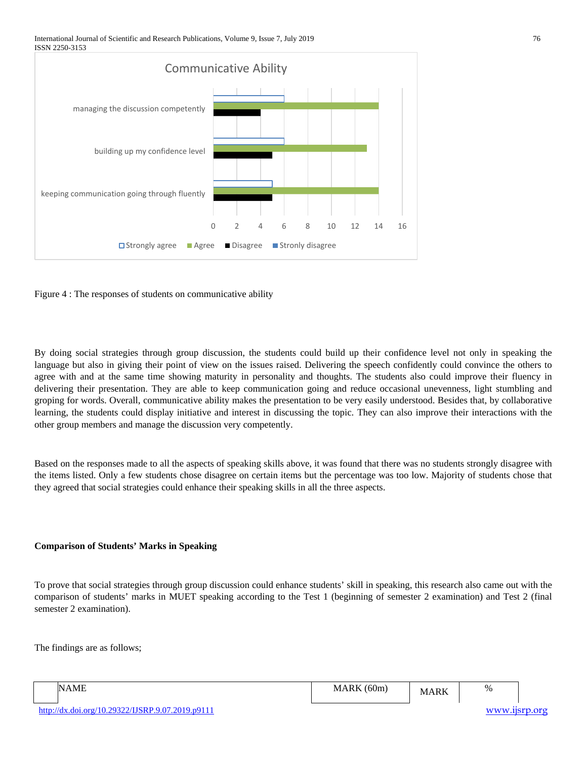International Journal of Scientific and Research Publications, Volume 9, Issue 7, July 2019 76 ISSN 2250-3153



Figure 4 : The responses of students on communicative ability

By doing social strategies through group discussion, the students could build up their confidence level not only in speaking the language but also in giving their point of view on the issues raised. Delivering the speech confidently could convince the others to agree with and at the same time showing maturity in personality and thoughts. The students also could improve their fluency in delivering their presentation. They are able to keep communication going and reduce occasional unevenness, light stumbling and groping for words. Overall, communicative ability makes the presentation to be very easily understood. Besides that, by collaborative learning, the students could display initiative and interest in discussing the topic. They can also improve their interactions with the other group members and manage the discussion very competently.

Based on the responses made to all the aspects of speaking skills above, it was found that there was no students strongly disagree with the items listed. Only a few students chose disagree on certain items but the percentage was too low. Majority of students chose that they agreed that social strategies could enhance their speaking skills in all the three aspects.

# **Comparison of Students' Marks in Speaking**

To prove that social strategies through group discussion could enhance students' skill in speaking, this research also came out with the comparison of students' marks in MUET speaking according to the Test 1 (beginning of semester 2 examination) and Test 2 (final semester 2 examination).

The findings are as follows;

| IN.<br>$\lambda$<br>the contract of the contract of the contract of the contract of the contract of | $\epsilon$<br>۰л<br>. 60m<br>.<br>$\sim$ $\sim$ $\sim$ | $\mathbf{D}$<br>w | $\%$ |
|-----------------------------------------------------------------------------------------------------|--------------------------------------------------------|-------------------|------|
|                                                                                                     |                                                        |                   |      |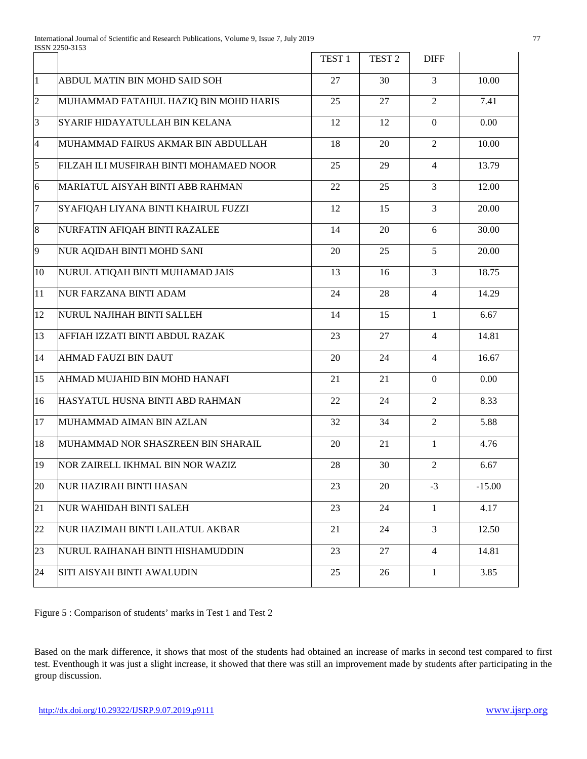|                |                                         | TEST <sub>1</sub> | TEST <sub>2</sub> | <b>DIFF</b>    |          |
|----------------|-----------------------------------------|-------------------|-------------------|----------------|----------|
| $\mathbf{1}$   | ABDUL MATIN BIN MOHD SAID SOH           | 27                | 30                | 3              | 10.00    |
| $\overline{2}$ | MUHAMMAD FATAHUL HAZIQ BIN MOHD HARIS   | 25                | 27                | $\overline{2}$ | 7.41     |
| 3              | SYARIF HIDAYATULLAH BIN KELANA          | 12                | 12                | $\Omega$       | 0.00     |
| $\overline{4}$ | MUHAMMAD FAIRUS AKMAR BIN ABDULLAH      | 18                | 20                | $\overline{2}$ | 10.00    |
| 5              | FILZAH ILI MUSFIRAH BINTI MOHAMAED NOOR | 25                | 29                | $\overline{4}$ | 13.79    |
| 6              | MARIATUL AISYAH BINTI ABB RAHMAN        | 22                | 25                | 3              | 12.00    |
| $\overline{7}$ | SYAFIQAH LIYANA BINTI KHAIRUL FUZZI     | 12                | 15                | 3              | 20.00    |
| 8              | NURFATIN AFIQAH BINTI RAZALEE           | 14                | 20                | 6              | 30.00    |
| 9              | NUR AQIDAH BINTI MOHD SANI              | 20                | 25                | 5              | 20.00    |
| 10             | NURUL ATIQAH BINTI MUHAMAD JAIS         | 13                | 16                | $\overline{3}$ | 18.75    |
| 11             | <b>NUR FARZANA BINTI ADAM</b>           | 24                | 28                | $\overline{4}$ | 14.29    |
| 12             | NURUL NAJIHAH BINTI SALLEH              | 14                | 15                | $\mathbf{1}$   | 6.67     |
| 13             | AFFIAH IZZATI BINTI ABDUL RAZAK         | 23                | 27                | $\overline{4}$ | 14.81    |
| 14             | <b>AHMAD FAUZI BIN DAUT</b>             | 20                | 24                | 4              | 16.67    |
| 15             | AHMAD MUJAHID BIN MOHD HANAFI           | 21                | 21                | $\Omega$       | 0.00     |
| 16             | HASYATUL HUSNA BINTI ABD RAHMAN         | 22                | 24                | $\overline{2}$ | 8.33     |
| 17             | MUHAMMAD AIMAN BIN AZLAN                | 32                | 34                | $\overline{2}$ | 5.88     |
| 18             | MUHAMMAD NOR SHASZREEN BIN SHARAIL      | 20                | 21                | $\mathbf{1}$   | 4.76     |
| 19             | <b>NOR ZAIRELL IKHMAL BIN NOR WAZIZ</b> | 28                | 30                | 2              | 6.67     |
| 20             | <b>NUR HAZIRAH BINTI HASAN</b>          | 23                | 20                | $-3$           | $-15.00$ |
| 21             | <b>NUR WAHIDAH BINTI SALEH</b>          | 23                | 24                | 1              | 4.17     |
| 22             | NUR HAZIMAH BINTI LAILATUL AKBAR        | 21                | 24                | 3              | 12.50    |
| 23             | NURUL RAIHANAH BINTI HISHAMUDDIN        | 23                | 27                | $\overline{4}$ | 14.81    |
| 24             | <b>SITI AISYAH BINTI AWALUDIN</b>       | 25                | 26                | 1              | 3.85     |

Figure 5 : Comparison of students' marks in Test 1 and Test 2

Based on the mark difference, it shows that most of the students had obtained an increase of marks in second test compared to first test. Eventhough it was just a slight increase, it showed that there was still an improvement made by students after participating in the group discussion.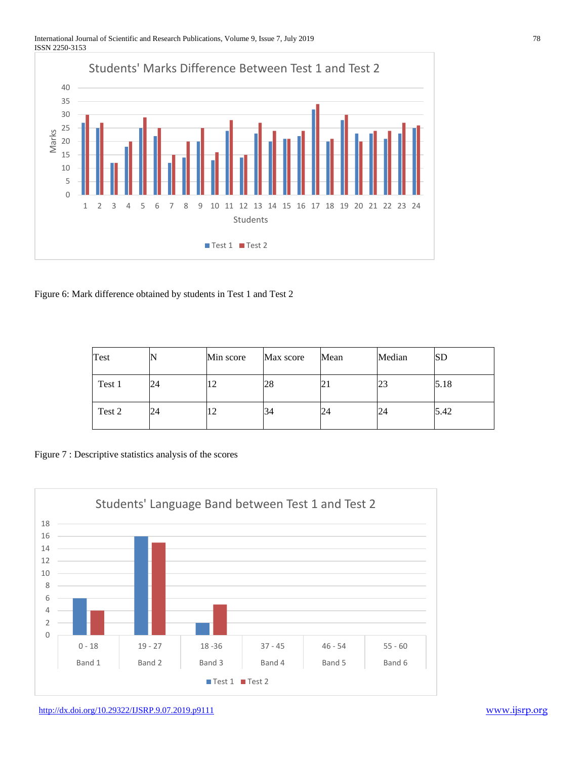#### International Journal of Scientific and Research Publications, Volume 9, Issue 7, July 2019 78 ISSN 2250-3153



Figure 6: Mark difference obtained by students in Test 1 and Test 2

| Test   |    | Min score  | Max score | Mean | Median | SD   |
|--------|----|------------|-----------|------|--------|------|
| Test 1 | 24 | $\sqrt{2}$ | 28        | 21   | 23     | 5.18 |
| Test 2 | 24 |            | 34        | 24   | 24     | 5.42 |

Figure 7 : Descriptive statistics analysis of the scores

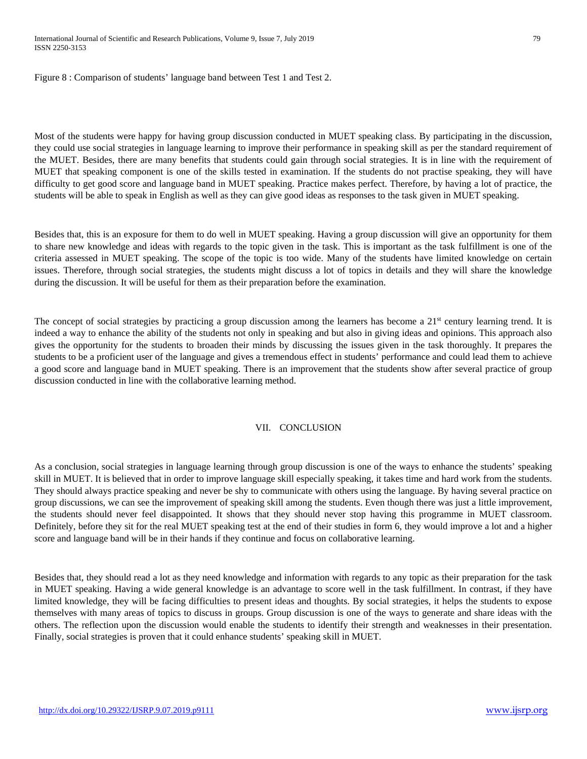Figure 8 : Comparison of students' language band between Test 1 and Test 2.

Most of the students were happy for having group discussion conducted in MUET speaking class. By participating in the discussion, they could use social strategies in language learning to improve their performance in speaking skill as per the standard requirement of the MUET. Besides, there are many benefits that students could gain through social strategies. It is in line with the requirement of MUET that speaking component is one of the skills tested in examination. If the students do not practise speaking, they will have difficulty to get good score and language band in MUET speaking. Practice makes perfect. Therefore, by having a lot of practice, the students will be able to speak in English as well as they can give good ideas as responses to the task given in MUET speaking.

Besides that, this is an exposure for them to do well in MUET speaking. Having a group discussion will give an opportunity for them to share new knowledge and ideas with regards to the topic given in the task. This is important as the task fulfillment is one of the criteria assessed in MUET speaking. The scope of the topic is too wide. Many of the students have limited knowledge on certain issues. Therefore, through social strategies, the students might discuss a lot of topics in details and they will share the knowledge during the discussion. It will be useful for them as their preparation before the examination.

The concept of social strategies by practicing a group discussion among the learners has become a  $21<sup>st</sup>$  century learning trend. It is indeed a way to enhance the ability of the students not only in speaking and but also in giving ideas and opinions. This approach also gives the opportunity for the students to broaden their minds by discussing the issues given in the task thoroughly. It prepares the students to be a proficient user of the language and gives a tremendous effect in students' performance and could lead them to achieve a good score and language band in MUET speaking. There is an improvement that the students show after several practice of group discussion conducted in line with the collaborative learning method.

## VII. CONCLUSION

As a conclusion, social strategies in language learning through group discussion is one of the ways to enhance the students' speaking skill in MUET. It is believed that in order to improve language skill especially speaking, it takes time and hard work from the students. They should always practice speaking and never be shy to communicate with others using the language. By having several practice on group discussions, we can see the improvement of speaking skill among the students. Even though there was just a little improvement, the students should never feel disappointed. It shows that they should never stop having this programme in MUET classroom. Definitely, before they sit for the real MUET speaking test at the end of their studies in form 6, they would improve a lot and a higher score and language band will be in their hands if they continue and focus on collaborative learning.

Besides that, they should read a lot as they need knowledge and information with regards to any topic as their preparation for the task in MUET speaking. Having a wide general knowledge is an advantage to score well in the task fulfillment. In contrast, if they have limited knowledge, they will be facing difficulties to present ideas and thoughts. By social strategies, it helps the students to expose themselves with many areas of topics to discuss in groups. Group discussion is one of the ways to generate and share ideas with the others. The reflection upon the discussion would enable the students to identify their strength and weaknesses in their presentation. Finally, social strategies is proven that it could enhance students' speaking skill in MUET.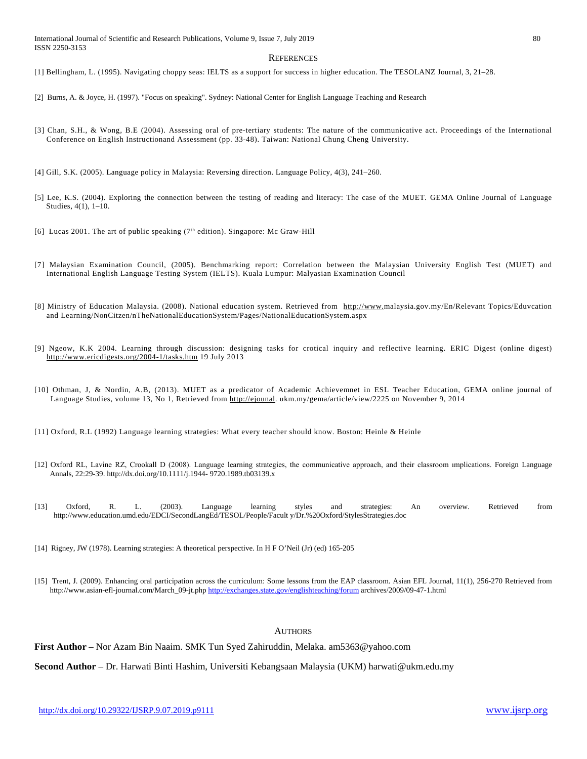#### **REFERENCES**

[1] Bellingham, L. (1995). Navigating choppy seas: IELTS as a support for success in higher education. The TESOLANZ Journal, 3, 21–28.

- [2] Burns, A. & Joyce, H. (1997). "Focus on speaking". Sydney: National Center for English Language Teaching and Research
- [3] Chan, S.H., & Wong, B.E (2004). Assessing oral of pre-tertiary students: The nature of the communicative act. Proceedings of the International Conference on English Instructionand Assessment (pp. 33-48). Taiwan: National Chung Cheng University.
- [4] Gill, S.K. (2005). Language policy in Malaysia: Reversing direction. Language Policy, 4(3), 241–260.
- [5] Lee, K.S. (2004). Exploring the connection between the testing of reading and literacy: The case of the MUET. GEMA Online Journal of Language Studies, 4(1), 1–10.
- [6] Lucas 2001. The art of public speaking (7<sup>th</sup> edition). Singapore: Mc Graw-Hill
- [7] Malaysian Examination Council, (2005). Benchmarking report: Correlation between the Malaysian University English Test (MUET) and International English Language Testing System (IELTS). Kuala Lumpur: Malyasian Examination Council
- [8] Ministry of Education Malaysia. (2008). National education system. Retrieved from [http://www.m](http://www./)alaysia.gov.my/En/Relevant Topics/Eduvcation and Learning/NonCitzen/nTheNationalEducationSystem/Pages/NationalEducationSystem.aspx
- [9] Ngeow, K.K 2004. Learning through discussion: designing tasks for crotical inquiry and reflective learning. ERIC Digest (online digest) <http://www.ericdigests.org/2004-1/tasks.htm> 19 July 2013
- [10] Othman, J, & Nordin, A.B, (2013). MUET as a predicator of Academic Achievemnet in ESL Teacher Education, GEMA online journal of Language Studies, volume 13, No 1, Retrieved from [http://ejounal.](http://ejounal/) ukm.my/gema/article/view/2225 on November 9, 2014
- [11] Oxford, R.L (1992) Language learning strategies: What every teacher should know. Boston: Heinle & Heinle
- [12] Oxford RL, Lavine RZ, Crookall D (2008). Language learning strategies, the communicative approach, and their classroom ımplications. Foreign Language Annals, 22:29-39. http://dx.doi.org/10.1111/j.1944- 9720.1989.tb03139.x
- [13] Oxford, R. L. (2003). Language learning styles and strategies: An overview. Retrieved from http://www.education.umd.edu/EDCI/SecondLangEd/TESOL/People/Facult y/Dr.%20Oxford/StylesStrategies.doc
- [14] Rigney, JW (1978). Learning strategies: A theoretical perspective. In H F O'Neil (Jr) (ed) 165-205
- [15] Trent, J. (2009). Enhancing oral participation across the curriculum: Some lessons from the EAP classroom. Asian EFL Journal, 11(1), 256-270 Retrieved from http://www.asian-efl-journal.com/March\_09-jt.ph[p http://exchanges.state.gov/englishteaching/forum](http://exchanges.state.gov/englishteaching/forum) archives/2009/09-47-1.html

#### **AUTHORS**

#### **First Author** – Nor Azam Bin Naaim. SMK Tun Syed Zahiruddin, Melaka. am5363@yahoo.com

**Second Author** – Dr. Harwati Binti Hashim, Universiti Kebangsaan Malaysia (UKM) harwati@ukm.edu.my